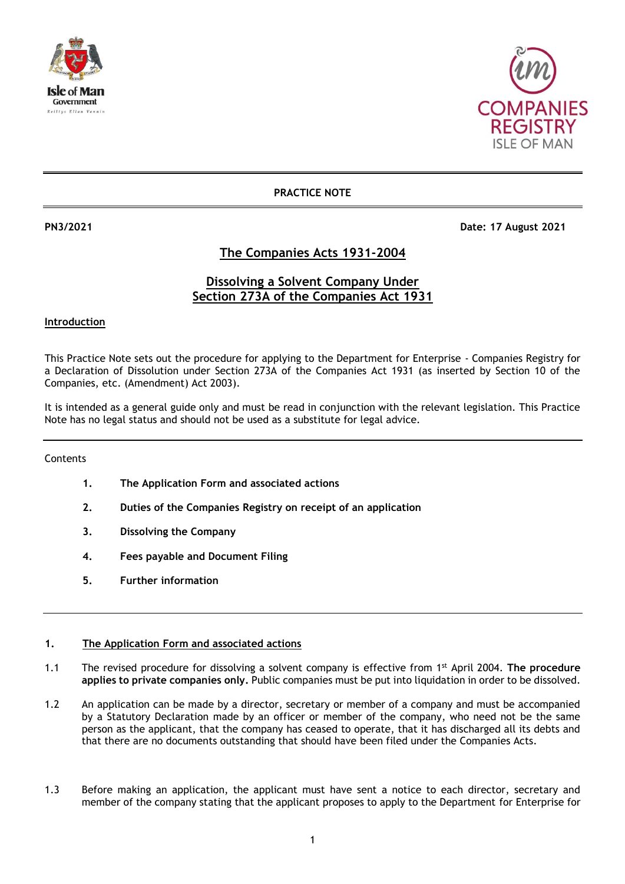



### **PRACTICE NOTE**

**PN3/2021 Date: 17 August 2021**

## **The Companies Acts 1931-2004**

### **Dissolving a Solvent Company Under Section 273A of the Companies Act 1931**

#### **Introduction**

This Practice Note sets out the procedure for applying to the Department for Enterprise - Companies Registry for a Declaration of Dissolution under Section 273A of the Companies Act 1931 (as inserted by Section 10 of the Companies, etc. (Amendment) Act 2003).

It is intended as a general guide only and must be read in conjunction with the relevant legislation. This Practice Note has no legal status and should not be used as a substitute for legal advice.

#### Contents

- **1. The Application Form and associated actions**
- **2. Duties of the Companies Registry on receipt of an application**
- **3. Dissolving the Company**
- **4. Fees payable and Document Filing**
- **5. Further information**

#### **1. The Application Form and associated actions**

- 1.1 The revised procedure for dissolving a solvent company is effective from 1st April 2004. **The procedure applies to private companies only.** Public companies must be put into liquidation in order to be dissolved.
- 1.2 An application can be made by a director, secretary or member of a company and must be accompanied by a Statutory Declaration made by an officer or member of the company, who need not be the same person as the applicant, that the company has ceased to operate, that it has discharged all its debts and that there are no documents outstanding that should have been filed under the Companies Acts.
- 1.3 Before making an application, the applicant must have sent a notice to each director, secretary and member of the company stating that the applicant proposes to apply to the Department for Enterprise for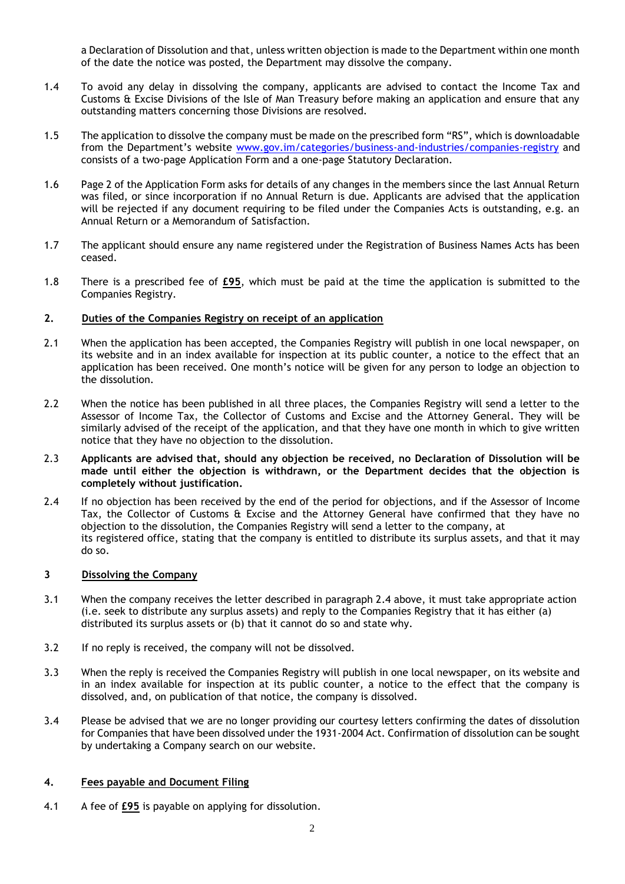a Declaration of Dissolution and that, unless written objection is made to the Department within one month of the date the notice was posted, the Department may dissolve the company.

- 1.4 To avoid any delay in dissolving the company, applicants are advised to contact the Income Tax and Customs & Excise Divisions of the Isle of Man Treasury before making an application and ensure that any outstanding matters concerning those Divisions are resolved.
- 1.5 The application to dissolve the company must be made on the prescribed form "RS", which is downloadable from the Department's website [www.gov.im/categories/business-and-industries/companies-registry](http://www.gov.im/categories/business-and-industries/companies-registry) and consists of a two-page Application Form and a one-page Statutory Declaration.
- 1.6 Page 2 of the Application Form asks for details of any changes in the members since the last Annual Return was filed, or since incorporation if no Annual Return is due. Applicants are advised that the application will be rejected if any document requiring to be filed under the Companies Acts is outstanding, e.g. an Annual Return or a Memorandum of Satisfaction.
- 1.7 The applicant should ensure any name registered under the Registration of Business Names Acts has been ceased.
- 1.8 There is a prescribed fee of **£95**, which must be paid at the time the application is submitted to the Companies Registry.

#### **2. Duties of the Companies Registry on receipt of an application**

- 2.1 When the application has been accepted, the Companies Registry will publish in one local newspaper, on its website and in an index available for inspection at its public counter, a notice to the effect that an application has been received. One month's notice will be given for any person to lodge an objection to the dissolution.
- 2.2 When the notice has been published in all three places, the Companies Registry will send a letter to the Assessor of Income Tax, the Collector of Customs and Excise and the Attorney General. They will be similarly advised of the receipt of the application, and that they have one month in which to give written notice that they have no objection to the dissolution.
- 2.3 **Applicants are advised that, should any objection be received, no Declaration of Dissolution will be made until either the objection is withdrawn, or the Department decides that the objection is completely without justification.**
- 2.4 If no objection has been received by the end of the period for objections, and if the Assessor of Income Tax, the Collector of Customs & Excise and the Attorney General have confirmed that they have no objection to the dissolution, the Companies Registry will send a letter to the company, at its registered office, stating that the company is entitled to distribute its surplus assets, and that it may do so.

#### **3 Dissolving the Company**

- 3.1 When the company receives the letter described in paragraph 2.4 above, it must take appropriate action (i.e. seek to distribute any surplus assets) and reply to the Companies Registry that it has either (a) distributed its surplus assets or (b) that it cannot do so and state why.
- 3.2 If no reply is received, the company will not be dissolved.
- 3.3 When the reply is received the Companies Registry will publish in one local newspaper, on its website and in an index available for inspection at its public counter, a notice to the effect that the company is dissolved, and, on publication of that notice, the company is dissolved.
- 3.4 Please be advised that we are no longer providing our courtesy letters confirming the dates of dissolution for Companies that have been dissolved under the 1931-2004 Act. Confirmation of dissolution can be sought by undertaking a Company search on our website.

#### **4. Fees payable and Document Filing**

4.1 A fee of **£95** is payable on applying for dissolution.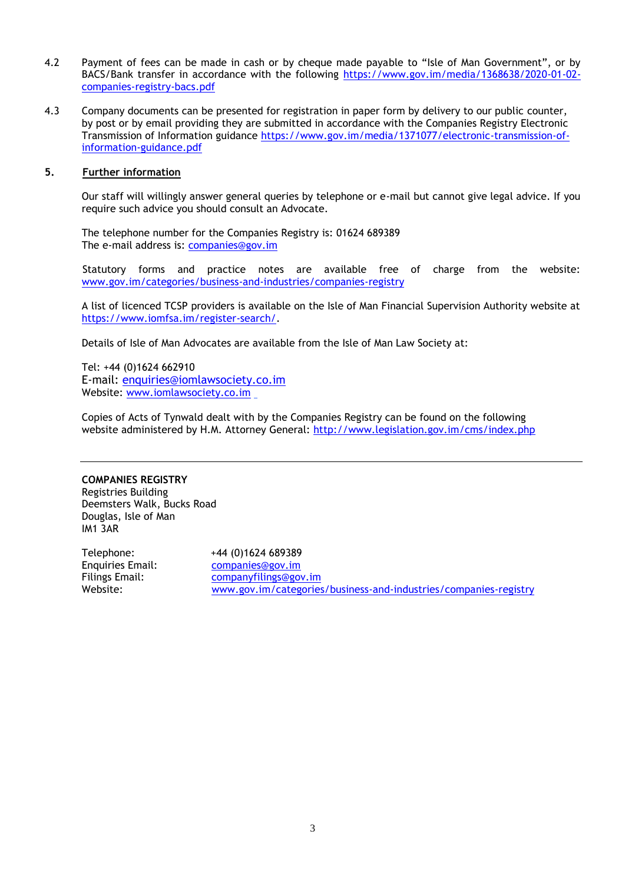- 4.2 Payment of fees can be made in cash or by cheque made payable to "Isle of Man Government", or by BACS/Bank transfer in accordance with the following [https://www.gov.im/media/1368638/2020-01-02](https://www.gov.im/media/1368638/2020-01-02-companies-registry-bacs.pdf) [companies-registry-bacs.pdf](https://www.gov.im/media/1368638/2020-01-02-companies-registry-bacs.pdf)
- 4.3 Company documents can be presented for registration in paper form by delivery to our public counter, by post or by email providing they are submitted in accordance with the Companies Registry Electronic Transmission of Information guidance [https://www.gov.im/media/1371077/electronic-transmission-of](https://www.gov.im/media/1371077/electronic-transmission-of-information-guidance.pdf)[information-guidance.pdf](https://www.gov.im/media/1371077/electronic-transmission-of-information-guidance.pdf)

#### **5. Further information**

Our staff will willingly answer general queries by telephone or e-mail but cannot give legal advice. If you require such advice you should consult an Advocate.

The telephone number for the Companies Registry is: 01624 689389 The e-mail address is: [companies@gov.im](mailto:companies.registry@gov.im)

Statutory forms and practice notes are available free of charge from the website: [www.gov.im/categories/business-and-industries/companies-registry](http://www.gov.im/categories/business-and-industries/companies-registry)

A list of licenced TCSP providers is available on the Isle of Man Financial Supervision Authority website at [https://www.iomfsa.im/register-search/.](https://www.iomfsa.im/register-search/)

Details of Isle of Man Advocates are available from the Isle of Man Law Society at:

Tel: +44 (0)1624 662910 E-mail: [enquiries@iomlawsociety.co.im](mailto:enquiries@iomlawsociety.co.im) Website: [www.iomlawsociety.co.im](http://www.iomlawsociety.co.im/)

Copies of Acts of Tynwald dealt with by the Companies Registry can be found on the following website administered by H.M. Attorney General: <http://www.legislation.gov.im/cms/index.php>

#### **COMPANIES REGISTRY**

Registries Building Deemsters Walk, Bucks Road Douglas, Isle of Man IM1 3AR

Telephone: +44 (0)1624 689389 Enquiries Email: [companies@gov.im](mailto:companies@gov.im) Filings Email: [companyfilings@gov.im](mailto:companyfilings@gov.im) Website: [www.gov.im/categories/business-and-industries/companies-registry](http://www.gov.im/categories/business-and-industries/companies-registry)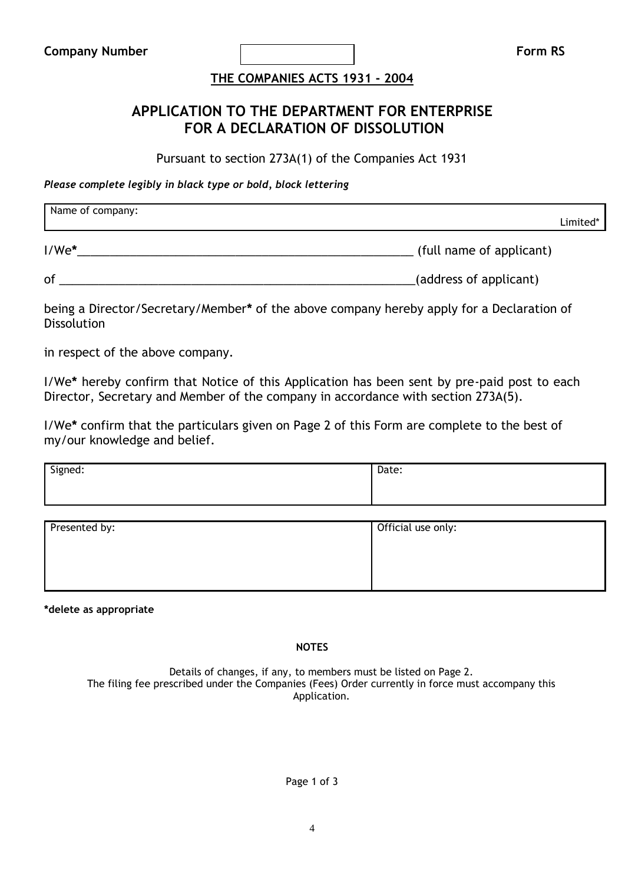# **THE COMPANIES ACTS 1931 - 2004**

# **APPLICATION TO THE DEPARTMENT FOR ENTERPRISE FOR A DECLARATION OF DISSOLUTION**

Pursuant to section 273A(1) of the Companies Act 1931

*Please complete legibly in black type or bold, block lettering*

| Name of company: | Limited*                 |
|------------------|--------------------------|
| $I/We^*$         | (full name of applicant) |

of \_\_\_\_\_\_\_\_\_\_\_\_\_\_\_\_\_\_\_\_\_\_\_\_\_\_\_\_\_\_\_\_\_\_\_\_\_\_\_\_\_\_\_\_\_\_\_\_\_\_\_\_\_\_(address of applicant)

being a Director/Secretary/Member**\*** of the above company hereby apply for a Declaration of **Dissolution** 

in respect of the above company.

I/We**\*** hereby confirm that Notice of this Application has been sent by pre-paid post to each Director, Secretary and Member of the company in accordance with section 273A(5).

I/We**\*** confirm that the particulars given on Page 2 of this Form are complete to the best of my/our knowledge and belief.

| Signed:       | Date:              |
|---------------|--------------------|
| Presented by: | Official use only: |

**\*delete as appropriate**

**NOTES**

Details of changes, if any, to members must be listed on Page 2. The filing fee prescribed under the Companies (Fees) Order currently in force must accompany this Application.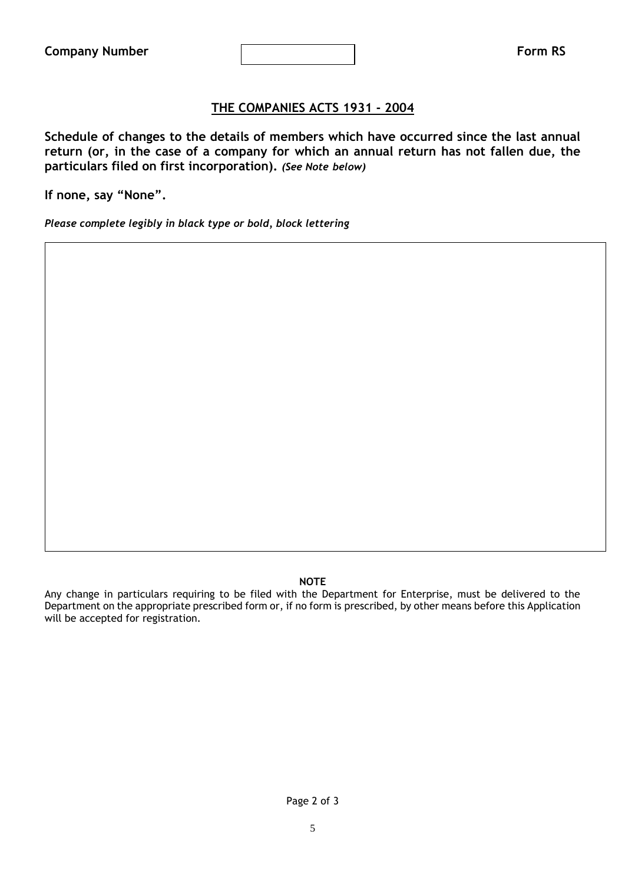## **THE COMPANIES ACTS 1931 - 2004**

**Schedule of changes to the details of members which have occurred since the last annual return (or, in the case of a company for which an annual return has not fallen due, the particulars filed on first incorporation).** *(See Note below)*

**If none, say "None".**

*Please complete legibly in black type or bold, block lettering*

### **NOTE**

Any change in particulars requiring to be filed with the Department for Enterprise, must be delivered to the Department on the appropriate prescribed form or, if no form is prescribed, by other means before this Application will be accepted for registration.